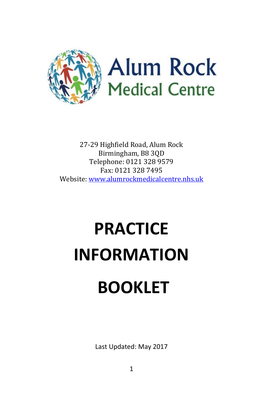

27-29 Highfield Road, Alum Rock Birmingham, B8 3QD Telephone: 0121 328 9579 Fax: 0121 328 7495 Website[: www.alumrockmedicalcentre.nhs.uk](file:///C:/Users/amir/Downloads/www.alumrockmedicalcentre.nhs.uk)

# **PRACTICE INFORMATION BOOKLET**

Last Updated: May 2017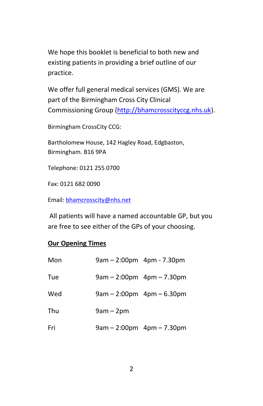We hope this booklet is beneficial to both new and existing patients in providing a brief outline of our practice.

We offer full general medical services (GMS). We are part of the Birmingham Cross City Clinical Commissioning Group [\(http://bhamcrosscityccg.nhs.uk\)](http://bhamcrosscityccg.nhs.uk/).

Birmingham CrossCity CCG:

Bartholomew House, 142 Hagley Road, Edgbaston, Birmingham. B16 9PA

Telephone: 0121 255 0700

Fax: 0121 682 0090

Email: [bhamcrosscity@nhs.net](mailto:bhamcrosscity@nhs.net)

All patients will have a named accountable GP, but you are free to see either of the GPs of your choosing.

## **Our Opening Times**

| Mon | $9am - 2:00pm$ 4pm - 7.30pm |                               |
|-----|-----------------------------|-------------------------------|
| Tue |                             | $9am - 2:00pm$ 4pm $- 7.30pm$ |
| Wed |                             | $9am - 2:00pm$ 4pm $-6.30pm$  |
| Thu | $9am - 2pm$                 |                               |
| Fri |                             | $9am - 2:00pm$ 4pm $- 7.30pm$ |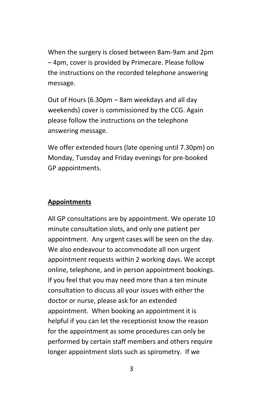When the surgery is closed between 8am-9am and 2pm – 4pm, cover is provided by Primecare. Please follow the instructions on the recorded telephone answering message.

Out of Hours (6.30pm – 8am weekdays and all day weekends) cover is commissioned by the CCG. Again please follow the instructions on the telephone answering message.

We offer extended hours (late opening until 7.30pm) on Monday, Tuesday and Friday evenings for pre-booked GP appointments.

#### **Appointments**

All GP consultations are by appointment. We operate 10 minute consultation slots, and only one patient per appointment. Any urgent cases will be seen on the day. We also endeavour to accommodate all non urgent appointment requests within 2 working days. We accept online, telephone, and in person appointment bookings. If you feel that you may need more than a ten minute consultation to discuss all your issues with either the doctor or nurse, please ask for an extended appointment. When booking an appointment it is helpful if you can let the receptionist know the reason for the appointment as some procedures can only be performed by certain staff members and others require longer appointment slots such as spirometry. If we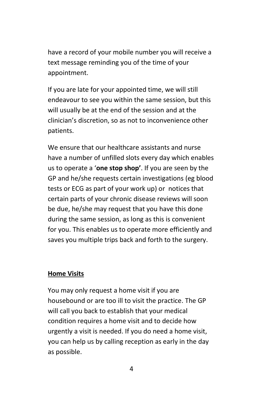have a record of your mobile number you will receive a text message reminding you of the time of your appointment.

If you are late for your appointed time, we will still endeavour to see you within the same session, but this will usually be at the end of the session and at the clinician's discretion, so as not to inconvenience other patients.

We ensure that our healthcare assistants and nurse have a number of unfilled slots every day which enables us to operate a '**one stop shop'**. If you are seen by the GP and he/she requests certain investigations (eg blood tests or ECG as part of your work up) or notices that certain parts of your chronic disease reviews will soon be due, he/she may request that you have this done during the same session, as long as this is convenient for you. This enables us to operate more efficiently and saves you multiple trips back and forth to the surgery.

#### **Home Visits**

You may only request a home visit if you are housebound or are too ill to visit the practice. The GP will call you back to establish that your medical condition requires a home visit and to decide how urgently a visit is needed. If you do need a home visit, you can help us by calling reception as early in the day as possible.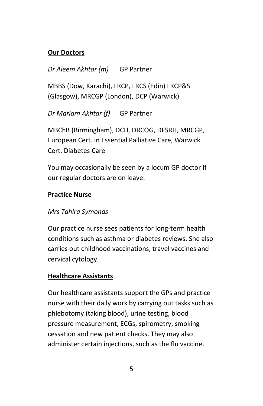## **Our Doctors**

*Dr Aleem Akhtar (m)* GP Partner

MBBS (Dow, Karachi), LRCP, LRCS (Edin) LRCP&S (Glasgow), MRCGP (London), DCP (Warwick)

*Dr Mariam Akhtar (f)* GP Partner

MBChB (Birmingham), DCH, DRCOG, DFSRH, MRCGP, European Cert. in Essential Palliative Care, Warwick Cert. Diabetes Care

You may occasionally be seen by a locum GP doctor if our regular doctors are on leave.

#### **Practice Nurse**

#### *Mrs Tahira Symonds*

Our practice nurse sees patients for long-term health conditions such as asthma or diabetes reviews. She also carries out childhood vaccinations, travel vaccines and cervical cytology.

# **Healthcare Assistants**

Our healthcare assistants support the GPs and practice nurse with their daily work by carrying out tasks such as phlebotomy (taking blood), urine testing, blood pressure measurement, ECGs, spirometry, smoking cessation and new patient checks. They may also administer certain injections, such as the flu vaccine.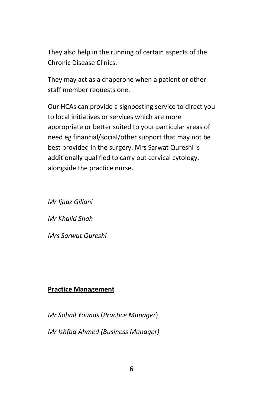They also help in the running of certain aspects of the Chronic Disease Clinics.

They may act as a chaperone when a patient or other staff member requests one.

Our HCAs can provide a signposting service to direct you to local initiatives or services which are more appropriate or better suited to your particular areas of need eg financial/social/other support that may not be best provided in the surgery. Mrs Sarwat Qureshi is additionally qualified to carry out cervical cytology, alongside the practice nurse.

*Mr Ijaaz Gillani Mr Khalid Shah Mrs Sarwat Qureshi*

#### **Practice Management**

*Mr Sohail Younas* (*Practice Manager*) *Mr Ishfaq Ahmed (Business Manager)*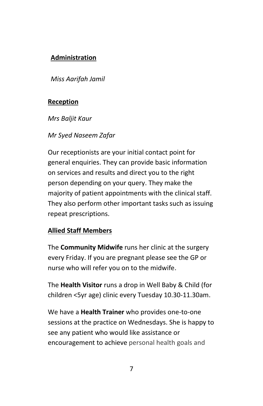# **Administration**

*Miss Aarifah Jamil*

# **Reception**

*Mrs Baljit Kaur*

*Mr Syed Naseem Zafar*

Our receptionists are your initial contact point for general enquiries. They can provide basic information on services and results and direct you to the right person depending on your query. They make the majority of patient appointments with the clinical staff. They also perform other important tasks such as issuing repeat prescriptions.

# **Allied Staff Members**

The **Community Midwife** runs her clinic at the surgery every Friday. If you are pregnant please see the GP or nurse who will refer you on to the midwife.

The **Health Visitor** runs a drop in Well Baby & Child (for children <5yr age) clinic every Tuesday 10.30-11.30am.

We have a **Health Trainer** who provides one-to-one sessions at the practice on Wednesdays. She is happy to see any patient who would like assistance or encouragement to achieve personal health goals and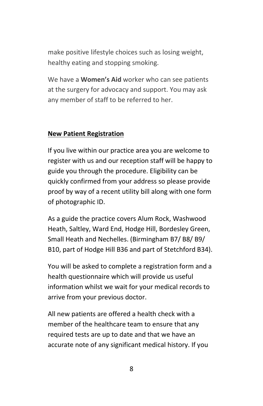make positive lifestyle choices such as losing weight, healthy eating and stopping smoking.

We have a **Women's Aid** worker who can see patients at the surgery for advocacy and support. You may ask any member of staff to be referred to her.

#### **New Patient Registration**

If you live within our practice area you are welcome to register with us and our reception staff will be happy to guide you through the procedure. Eligibility can be quickly confirmed from your address so please provide proof by way of a recent utility bill along with one form of photographic ID.

As a guide the practice covers Alum Rock, Washwood Heath, Saltley, Ward End, Hodge Hill, Bordesley Green, Small Heath and Nechelles. (Birmingham B7/ B8/ B9/ B10, part of Hodge Hill B36 and part of Stetchford B34).

You will be asked to complete a registration form and a health questionnaire which will provide us useful information whilst we wait for your medical records to arrive from your previous doctor.

All new patients are offered a health check with a member of the healthcare team to ensure that any required tests are up to date and that we have an accurate note of any significant medical history. If you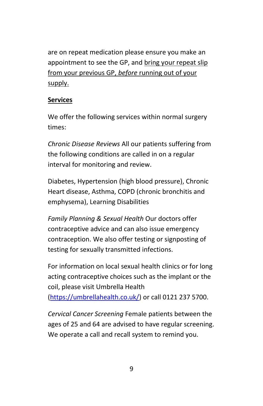are on repeat medication please ensure you make an appointment to see the GP, and bring your repeat slip from your previous GP, *before* running out of your supply.

## **Services**

We offer the following services within normal surgery times:

*Chronic Disease Reviews* All our patients suffering from the following conditions are called in on a regular interval for monitoring and review.

Diabetes, Hypertension (high blood pressure), Chronic Heart disease, Asthma, COPD (chronic bronchitis and emphysema), Learning Disabilities

*Family Planning & Sexual Health* Our doctors offer contraceptive advice and can also issue emergency contraception. We also offer testing or signposting of testing for sexually transmitted infections.

For information on local sexual health clinics or for long acting contraceptive choices such as the implant or the coil, please visit Umbrella Health [\(https://umbrellahealth.co.uk/\)](https://umbrellahealth.co.uk/) or call 0121 237 5700.

*Cervical Cancer Screening* Female patients between the ages of 25 and 64 are advised to have regular screening. We operate a call and recall system to remind you.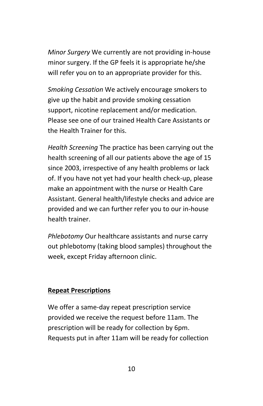*Minor Surgery* We currently are not providing in-house minor surgery. If the GP feels it is appropriate he/she will refer you on to an appropriate provider for this.

*Smoking Cessation* We actively encourage smokers to give up the habit and provide smoking cessation support, nicotine replacement and/or medication. Please see one of our trained Health Care Assistants or the Health Trainer for this.

*Health Screening* The practice has been carrying out the health screening of all our patients above the age of 15 since 2003, irrespective of any health problems or lack of. If you have not yet had your health check-up, please make an appointment with the nurse or Health Care Assistant. General health/lifestyle checks and advice are provided and we can further refer you to our in-house health trainer.

*Phlebotomy* Our healthcare assistants and nurse carry out phlebotomy (taking blood samples) throughout the week, except Friday afternoon clinic.

#### **Repeat Prescriptions**

We offer a same-day repeat prescription service provided we receive the request before 11am. The prescription will be ready for collection by 6pm. Requests put in after 11am will be ready for collection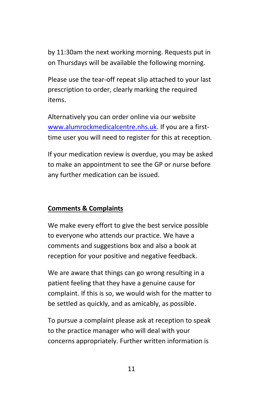by 11:30am the next working morning. Requests put in on Thursdays will be available the following morning.

Please use the tear-off repeat slip attached to your last prescription to order, clearly marking the required items.

Alternatively you can order online via our website [www.alumrockmedicalcentre.nhs.uk.](file:///C:/Users/amir/Downloads/www.alumrockmedicalcentre.nhs.uk) If you are a firsttime user you will need to register for this at reception.

If your medication review is overdue, you may be asked to make an appointment to see the GP or nurse before any further medication can be issued.

#### **Comments & Complaints**

We make every effort to give the best service possible to everyone who attends our practice. We have a comments and suggestions box and also a book at reception for your positive and negative feedback.

We are aware that things can go wrong resulting in a patient feeling that they have a genuine cause for complaint. If this is so, we would wish for the matter to be settled as quickly, and as amicably, as possible.

To pursue a complaint please ask at reception to speak to the practice manager who will deal with your concerns appropriately. Further written information is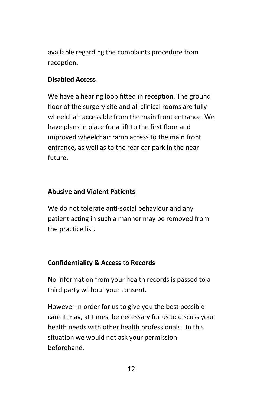available regarding the complaints procedure from reception.

## **Disabled Access**

We have a hearing loop fitted in reception. The ground floor of the surgery site and all clinical rooms are fully wheelchair accessible from the main front entrance. We have plans in place for a lift to the first floor and improved wheelchair ramp access to the main front entrance, as well as to the rear car park in the near future.

# **Abusive and Violent Patients**

We do not tolerate anti-social behaviour and any patient acting in such a manner may be removed from the practice list.

# **Confidentiality & Access to Records**

No information from your health records is passed to a third party without your consent.

However in order for us to give you the best possible care it may, at times, be necessary for us to discuss your health needs with other health professionals. In this situation we would not ask your permission beforehand.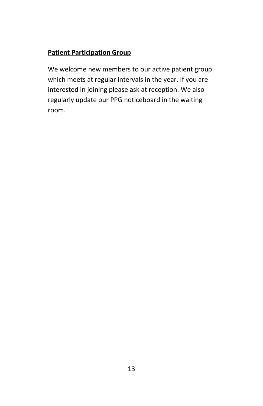# **Patient Participation Group**

We welcome new members to our active patient group which meets at regular intervals in the year. If you are interested in joining please ask at reception. We also regularly update our PPG noticeboard in the waiting room.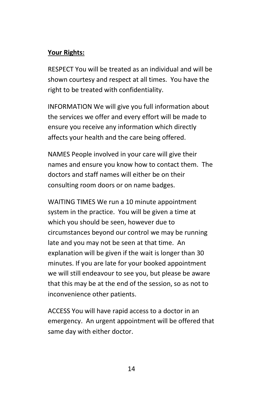## **Your Rights:**

RESPECT You will be treated as an individual and will be shown courtesy and respect at all times. You have the right to be treated with confidentiality.

INFORMATION We will give you full information about the services we offer and every effort will be made to ensure you receive any information which directly affects your health and the care being offered.

NAMES People involved in your care will give their names and ensure you know how to contact them. The doctors and staff names will either be on their consulting room doors or on name badges.

WAITING TIMES We run a 10 minute appointment system in the practice. You will be given a time at which you should be seen, however due to circumstances beyond our control we may be running late and you may not be seen at that time. An explanation will be given if the wait is longer than 30 minutes. If you are late for your booked appointment we will still endeavour to see you, but please be aware that this may be at the end of the session, so as not to inconvenience other patients.

ACCESS You will have rapid access to a doctor in an emergency. An urgent appointment will be offered that same day with either doctor.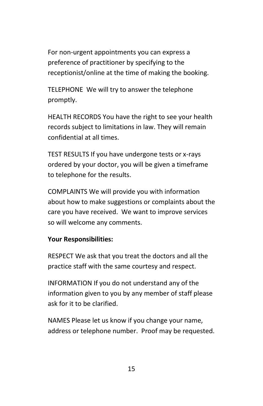For non-urgent appointments you can express a preference of practitioner by specifying to the receptionist/online at the time of making the booking.

TELEPHONE We will try to answer the telephone promptly.

HEALTH RECORDS You have the right to see your health records subject to limitations in law. They will remain confidential at all times.

TEST RESULTS If you have undergone tests or x-rays ordered by your doctor, you will be given a timeframe to telephone for the results.

COMPLAINTS We will provide you with information about how to make suggestions or complaints about the care you have received. We want to improve services so will welcome any comments.

#### **Your Responsibilities:**

RESPECT We ask that you treat the doctors and all the practice staff with the same courtesy and respect.

INFORMATION If you do not understand any of the information given to you by any member of staff please ask for it to be clarified.

NAMES Please let us know if you change your name, address or telephone number. Proof may be requested.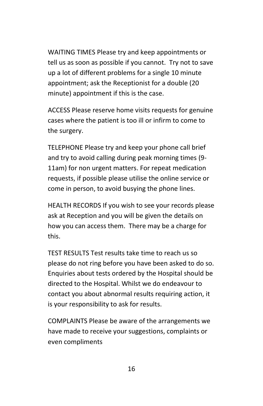WAITING TIMES Please try and keep appointments or tell us as soon as possible if you cannot. Try not to save up a lot of different problems for a single 10 minute appointment; ask the Receptionist for a double (20 minute) appointment if this is the case.

ACCESS Please reserve home visits requests for genuine cases where the patient is too ill or infirm to come to the surgery.

TELEPHONE Please try and keep your phone call brief and try to avoid calling during peak morning times (9- 11am) for non urgent matters. For repeat medication requests, if possible please utilise the online service or come in person, to avoid busying the phone lines.

HEALTH RECORDS If you wish to see your records please ask at Reception and you will be given the details on how you can access them. There may be a charge for this.

TEST RESULTS Test results take time to reach us so please do not ring before you have been asked to do so. Enquiries about tests ordered by the Hospital should be directed to the Hospital. Whilst we do endeavour to contact you about abnormal results requiring action, it is your responsibility to ask for results.

COMPLAINTS Please be aware of the arrangements we have made to receive your suggestions, complaints or even compliments